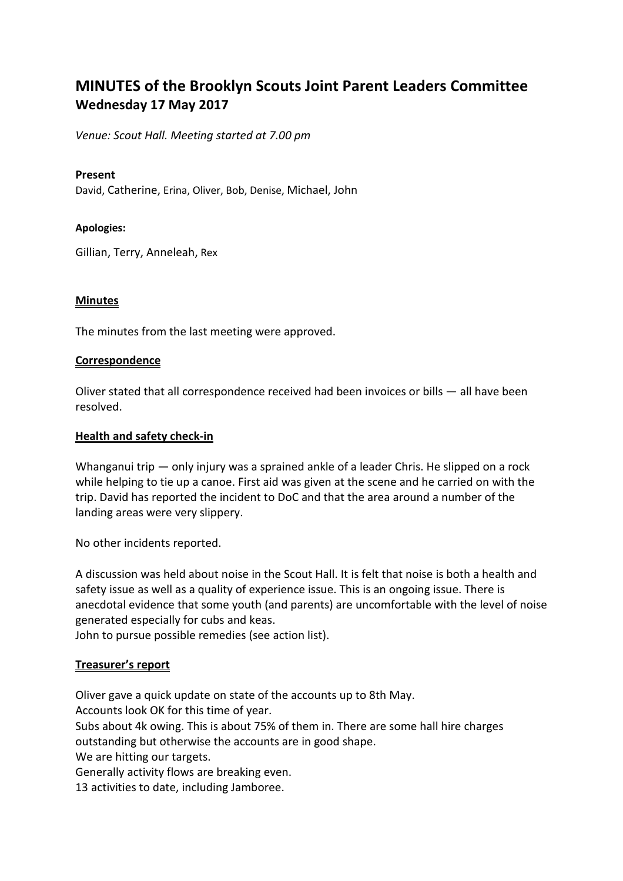# **MINUTES of the Brooklyn Scouts Joint Parent Leaders Committee Wednesday 17 May 2017**

*Venue: Scout Hall. Meeting started at 7.00 pm*

#### **Present**

David, Catherine, Erina, Oliver, Bob, Denise, Michael, John

#### **Apologies:**

Gillian, Terry, Anneleah, Rex

#### **Minutes**

The minutes from the last meeting were approved.

#### **Correspondence**

Oliver stated that all correspondence received had been invoices or bills — all have been resolved.

#### **Health and safety check-in**

Whanganui trip — only injury was a sprained ankle of a leader Chris. He slipped on a rock while helping to tie up a canoe. First aid was given at the scene and he carried on with the trip. David has reported the incident to DoC and that the area around a number of the landing areas were very slippery.

No other incidents reported.

A discussion was held about noise in the Scout Hall. It is felt that noise is both a health and safety issue as well as a quality of experience issue. This is an ongoing issue. There is anecdotal evidence that some youth (and parents) are uncomfortable with the level of noise generated especially for cubs and keas.

John to pursue possible remedies (see action list).

#### **Treasurer's report**

Oliver gave a quick update on state of the accounts up to 8th May.

Accounts look OK for this time of year.

Subs about 4k owing. This is about 75% of them in. There are some hall hire charges outstanding but otherwise the accounts are in good shape.

We are hitting our targets.

Generally activity flows are breaking even.

13 activities to date, including Jamboree.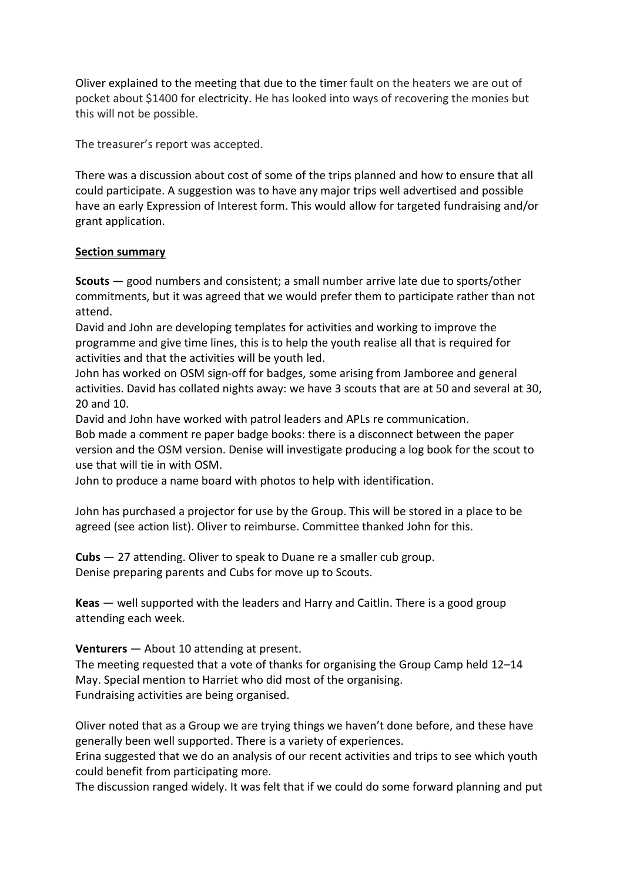Oliver explained to the meeting that due to the timer fault on the heaters we are out of pocket about \$1400 for electricity. He has looked into ways of recovering the monies but this will not be possible.

The treasurer's report was accepted.

There was a discussion about cost of some of the trips planned and how to ensure that all could participate. A suggestion was to have any major trips well advertised and possible have an early Expression of Interest form. This would allow for targeted fundraising and/or grant application.

## **Section summary**

**Scouts —** good numbers and consistent; a small number arrive late due to sports/other commitments, but it was agreed that we would prefer them to participate rather than not attend.

David and John are developing templates for activities and working to improve the programme and give time lines, this is to help the youth realise all that is required for activities and that the activities will be youth led.

John has worked on OSM sign-off for badges, some arising from Jamboree and general activities. David has collated nights away: we have 3 scouts that are at 50 and several at 30, 20 and 10.

David and John have worked with patrol leaders and APLs re communication.

Bob made a comment re paper badge books: there is a disconnect between the paper version and the OSM version. Denise will investigate producing a log book for the scout to use that will tie in with OSM.

John to produce a name board with photos to help with identification.

John has purchased a projector for use by the Group. This will be stored in a place to be agreed (see action list). Oliver to reimburse. Committee thanked John for this.

**Cubs** — 27 attending. Oliver to speak to Duane re a smaller cub group. Denise preparing parents and Cubs for move up to Scouts.

**Keas** — well supported with the leaders and Harry and Caitlin. There is a good group attending each week.

# **Venturers** — About 10 attending at present.

The meeting requested that a vote of thanks for organising the Group Camp held 12–14 May. Special mention to Harriet who did most of the organising. Fundraising activities are being organised.

Oliver noted that as a Group we are trying things we haven't done before, and these have generally been well supported. There is a variety of experiences.

Erina suggested that we do an analysis of our recent activities and trips to see which youth could benefit from participating more.

The discussion ranged widely. It was felt that if we could do some forward planning and put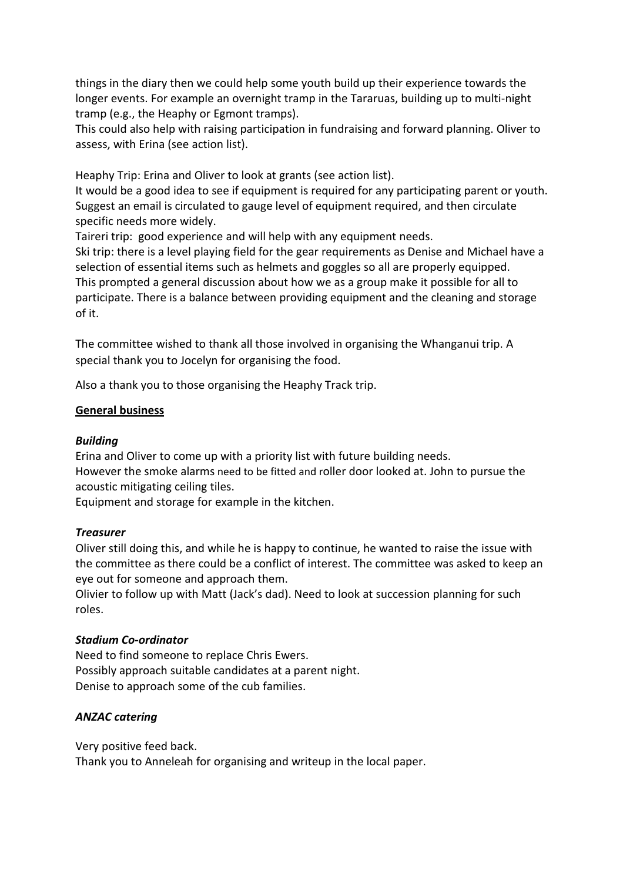things in the diary then we could help some youth build up their experience towards the longer events. For example an overnight tramp in the Tararuas, building up to multi-night tramp (e.g., the Heaphy or Egmont tramps).

This could also help with raising participation in fundraising and forward planning. Oliver to assess, with Erina (see action list).

Heaphy Trip: Erina and Oliver to look at grants (see action list).

It would be a good idea to see if equipment is required for any participating parent or youth. Suggest an email is circulated to gauge level of equipment required, and then circulate specific needs more widely.

Taireri trip: good experience and will help with any equipment needs.

Ski trip: there is a level playing field for the gear requirements as Denise and Michael have a selection of essential items such as helmets and goggles so all are properly equipped. This prompted a general discussion about how we as a group make it possible for all to participate. There is a balance between providing equipment and the cleaning and storage of it.

The committee wished to thank all those involved in organising the Whanganui trip. A special thank you to Jocelyn for organising the food.

Also a thank you to those organising the Heaphy Track trip.

#### **General business**

#### *Building*

Erina and Oliver to come up with a priority list with future building needs. However the smoke alarms need to be fitted and roller door looked at. John to pursue the acoustic mitigating ceiling tiles.

Equipment and storage for example in the kitchen.

#### *Treasurer*

Oliver still doing this, and while he is happy to continue, he wanted to raise the issue with the committee as there could be a conflict of interest. The committee was asked to keep an eye out for someone and approach them.

Olivier to follow up with Matt (Jack's dad). Need to look at succession planning for such roles.

#### *Stadium Co-ordinator*

Need to find someone to replace Chris Ewers. Possibly approach suitable candidates at a parent night. Denise to approach some of the cub families.

## *ANZAC catering*

Very positive feed back.

Thank you to Anneleah for organising and writeup in the local paper.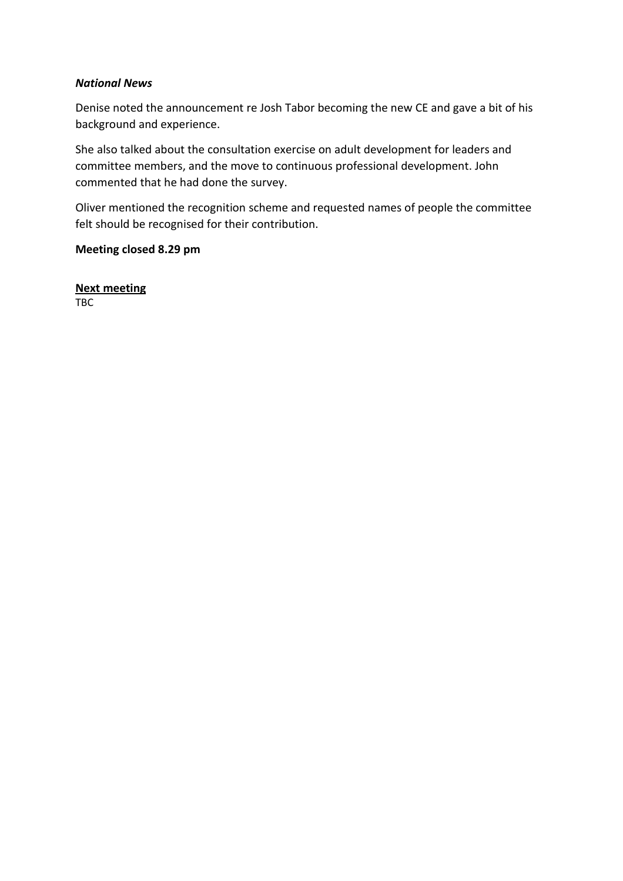### *National News*

Denise noted the announcement re Josh Tabor becoming the new CE and gave a bit of his background and experience.

She also talked about the consultation exercise on adult development for leaders and committee members, and the move to continuous professional development. John commented that he had done the survey.

Oliver mentioned the recognition scheme and requested names of people the committee felt should be recognised for their contribution.

# **Meeting closed 8.29 pm**

**Next meeting** TBC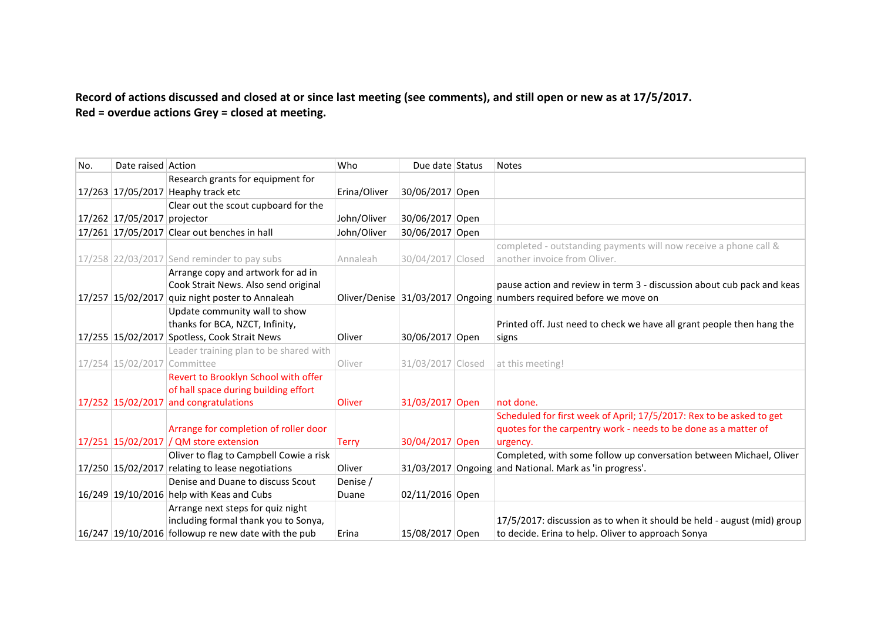Record of actions discussed and closed at or since last meeting (see comments), and still open or new as at 17/5/2017. **Red = overdue actions Grey = closed at meeting.**

| No. | Date raised Action          |                                                       | Who          | Due date Status   | <b>Notes</b>                                                            |
|-----|-----------------------------|-------------------------------------------------------|--------------|-------------------|-------------------------------------------------------------------------|
|     |                             | Research grants for equipment for                     |              |                   |                                                                         |
|     |                             | 17/263 17/05/2017 Heaphy track etc                    | Erina/Oliver | 30/06/2017 Open   |                                                                         |
|     |                             | Clear out the scout cupboard for the                  |              |                   |                                                                         |
|     | 17/262 17/05/2017 projector |                                                       | John/Oliver  | 30/06/2017 Open   |                                                                         |
|     |                             | 17/261 17/05/2017 Clear out benches in hall           | John/Oliver  | 30/06/2017 Open   |                                                                         |
|     |                             |                                                       |              |                   | completed - outstanding payments will now receive a phone call &        |
|     |                             | 17/258 22/03/2017 Send reminder to pay subs           | Annaleah     | 30/04/2017 Closed | another invoice from Oliver.                                            |
|     |                             | Arrange copy and artwork for ad in                    |              |                   |                                                                         |
|     |                             | Cook Strait News. Also send original                  |              |                   | pause action and review in term 3 - discussion about cub pack and keas  |
|     |                             | 17/257 15/02/2017 quiz night poster to Annaleah       |              |                   | Oliver/Denise 31/03/2017 Ongoing numbers required before we move on     |
|     |                             | Update community wall to show                         |              |                   |                                                                         |
|     |                             | thanks for BCA, NZCT, Infinity,                       |              |                   | Printed off. Just need to check we have all grant people then hang the  |
|     |                             | 17/255 15/02/2017 Spotless, Cook Strait News          | Oliver       | 30/06/2017 Open   | signs                                                                   |
|     |                             | Leader training plan to be shared with                |              |                   |                                                                         |
|     | 17/254 15/02/2017 Committee |                                                       | Oliver       | 31/03/2017 Closed | at this meeting!                                                        |
|     |                             | Revert to Brooklyn School with offer                  |              |                   |                                                                         |
|     |                             | of hall space during building effort                  |              |                   |                                                                         |
|     |                             | 17/252 15/02/2017 and congratulations                 | Oliver       | 31/03/2017 Open   | not done.                                                               |
|     |                             |                                                       |              |                   | Scheduled for first week of April; 17/5/2017: Rex to be asked to get    |
|     |                             | Arrange for completion of roller door                 |              |                   | quotes for the carpentry work - needs to be done as a matter of         |
|     |                             | 17/251 15/02/2017 / QM store extension                | <b>Terry</b> | 30/04/2017 Open   | urgency.                                                                |
|     |                             | Oliver to flag to Campbell Cowie a risk               |              |                   | Completed, with some follow up conversation between Michael, Oliver     |
|     |                             | 17/250 15/02/2017 relating to lease negotiations      | Oliver       |                   | 31/03/2017 Ongoing and National. Mark as 'in progress'.                 |
|     |                             | Denise and Duane to discuss Scout                     | Denise /     |                   |                                                                         |
|     |                             | $16/249$ 19/10/2016 help with Keas and Cubs           | Duane        | 02/11/2016 Open   |                                                                         |
|     |                             | Arrange next steps for quiz night                     |              |                   |                                                                         |
|     |                             | including formal thank you to Sonya,                  |              |                   | 17/5/2017: discussion as to when it should be held - august (mid) group |
|     |                             | $16/247$ 19/10/2016 followup re new date with the pub | Erina        | 15/08/2017 Open   | to decide. Erina to help. Oliver to approach Sonya                      |